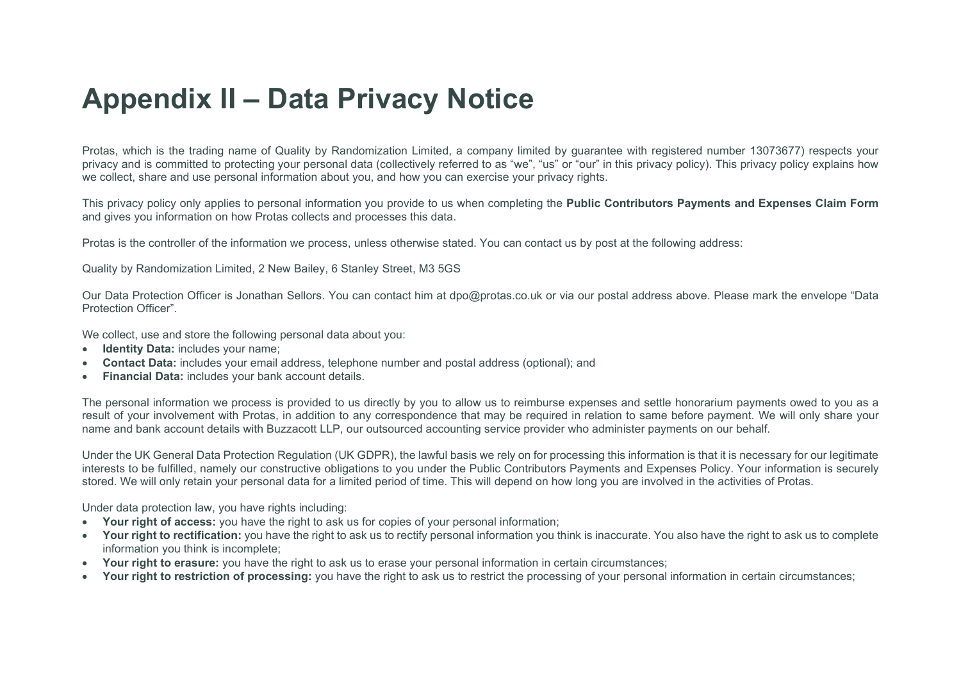## **Appendix II – Data Privacy Notice**

Protas, which is the trading name of Quality by Randomization Limited, a company limited by guarantee with registered number 13073677) respects your privacy and is committed to protecting your personal data (collectively referred to as "we", "us" or "our" in this privacy policy). This privacy policy explains how we collect, share and use personal information about you, and how you can exercise your privacy rights.

This privacy policy only applies to personal information you provide to us when completing the **Public Contributors Payments and Expenses Claim Form**  and gives you information on how Protas collects and processes this data.

Protas is the controller of the information we process, unless otherwise stated. You can contact us by post at the following address:

Quality by Randomization Limited, 2 New Bailey, 6 Stanley Street, M3 5GS

Our Data Protection Officer is Jonathan Sellors. You can contact him at dpo@protas.co.uk or via our postal address above. Please mark the envelope "Data Protection Officer".

We collect, use and store the following personal data about you:

- **Identity Data:** includes your name;
- **Contact Data:** includes your email address, telephone number and postal address (optional); and
- **Financial Data:** includes your bank account details.

The personal information we process is provided to us directly by you to allow us to reimburse expenses and settle honorarium payments owed to you as a result of your involvement with Protas, in addition to any correspondence that may be required in relation to same before payment. We will only share your name and bank account details with Buzzacott LLP, our outsourced accounting service provider who administer payments on our behalf.

Under the UK General Data Protection Regulation (UK GDPR), the lawful basis we rely on for processing this information is that it is necessary for our legitimate interests to be fulfilled, namely our constructive obligations to you under the Public Contributors Payments and Expenses Policy. Your information is securely stored. We will only retain your personal data for a limited period of time. This will depend on how long you are involved in the activities of Protas.

Under data protection law, you have rights including:

- **Your right of access:** you have the right to ask us for copies of your personal information;
- **Your right to rectification:** you have the right to ask us to rectify personal information you think is inaccurate. You also have the right to ask us to complete information you think is incomplete;
- **Your right to erasure:** you have the right to ask us to erase your personal information in certain circumstances;
- **Your right to restriction of processing:** you have the right to ask us to restrict the processing of your personal information in certain circumstances;